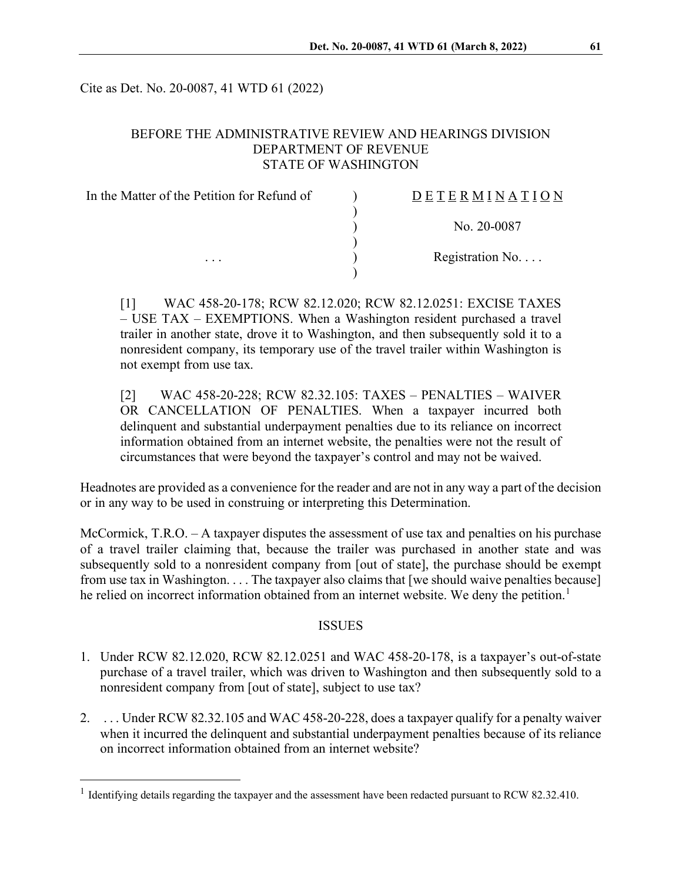Cite as Det. No. 20-0087, 41 WTD 61 (2022)

### BEFORE THE ADMINISTRATIVE REVIEW AND HEARINGS DIVISION DEPARTMENT OF REVENUE STATE OF WASHINGTON

| In the Matter of the Petition for Refund of<br>$\cdots$ | DETERMINATION   |
|---------------------------------------------------------|-----------------|
|                                                         | No. 20-0087     |
|                                                         | Registration No |
|                                                         |                 |

[1] WAC 458-20-178; RCW 82.12.020; RCW 82.12.0251: EXCISE TAXES – USE TAX – EXEMPTIONS. When a Washington resident purchased a travel trailer in another state, drove it to Washington, and then subsequently sold it to a nonresident company, its temporary use of the travel trailer within Washington is not exempt from use tax.

[2] WAC 458-20-228; RCW 82.32.105: TAXES – PENALTIES – WAIVER OR CANCELLATION OF PENALTIES. When a taxpayer incurred both delinquent and substantial underpayment penalties due to its reliance on incorrect information obtained from an internet website, the penalties were not the result of circumstances that were beyond the taxpayer's control and may not be waived.

Headnotes are provided as a convenience for the reader and are not in any way a part of the decision or in any way to be used in construing or interpreting this Determination.

McCormick, T.R.O.  $-A$  taxpayer disputes the assessment of use tax and penalties on his purchase of a travel trailer claiming that, because the trailer was purchased in another state and was subsequently sold to a nonresident company from [out of state], the purchase should be exempt from use tax in Washington. . . . The taxpayer also claims that [we should waive penalties because] he relied on incorrect information obtained from an internet website. We deny the petition.<sup>[1](#page-0-0)</sup>

### **ISSUES**

- 1. Under RCW 82.12.020, RCW 82.12.0251 and WAC 458-20-178, is a taxpayer's out-of-state purchase of a travel trailer, which was driven to Washington and then subsequently sold to a nonresident company from [out of state], subject to use tax?
- 2. . . . Under RCW 82.32.105 and WAC 458-20-228, does a taxpayer qualify for a penalty waiver when it incurred the delinquent and substantial underpayment penalties because of its reliance on incorrect information obtained from an internet website?

<span id="page-0-0"></span><sup>&</sup>lt;sup>1</sup> Identifying details regarding the taxpayer and the assessment have been redacted pursuant to RCW 82.32.410.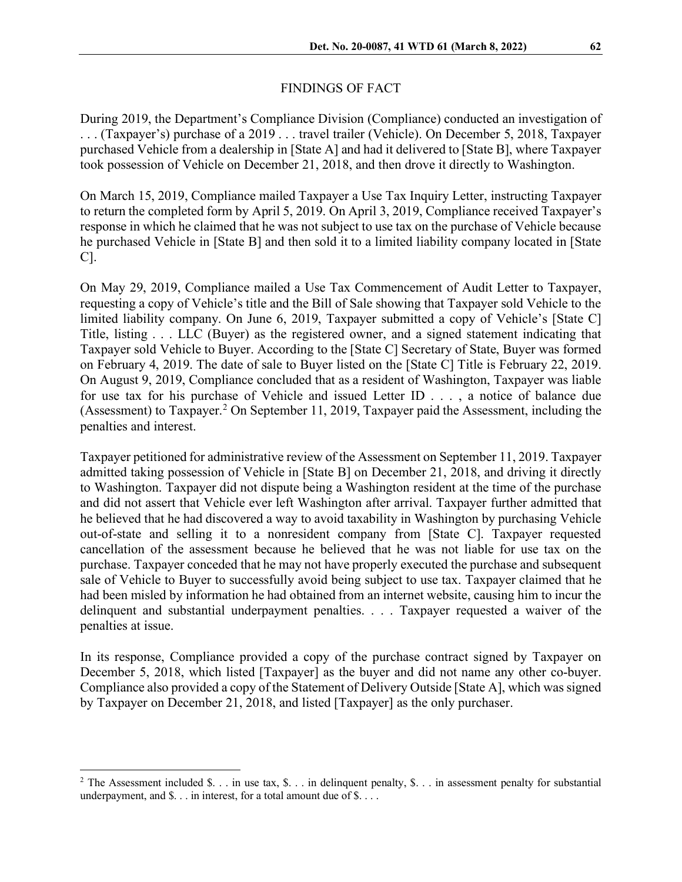### FINDINGS OF FACT

During 2019, the Department's Compliance Division (Compliance) conducted an investigation of . . . (Taxpayer's) purchase of a 2019 . . . travel trailer (Vehicle). On December 5, 2018, Taxpayer purchased Vehicle from a dealership in [State A] and had it delivered to [State B], where Taxpayer took possession of Vehicle on December 21, 2018, and then drove it directly to Washington.

On March 15, 2019, Compliance mailed Taxpayer a Use Tax Inquiry Letter, instructing Taxpayer to return the completed form by April 5, 2019. On April 3, 2019, Compliance received Taxpayer's response in which he claimed that he was not subject to use tax on the purchase of Vehicle because he purchased Vehicle in [State B] and then sold it to a limited liability company located in [State C].

On May 29, 2019, Compliance mailed a Use Tax Commencement of Audit Letter to Taxpayer, requesting a copy of Vehicle's title and the Bill of Sale showing that Taxpayer sold Vehicle to the limited liability company. On June 6, 2019, Taxpayer submitted a copy of Vehicle's [State C] Title, listing . . . LLC (Buyer) as the registered owner, and a signed statement indicating that Taxpayer sold Vehicle to Buyer. According to the [State C] Secretary of State, Buyer was formed on February 4, 2019. The date of sale to Buyer listed on the [State C] Title is February 22, 2019. On August 9, 2019, Compliance concluded that as a resident of Washington, Taxpayer was liable for use tax for his purchase of Vehicle and issued Letter ID . . . , a notice of balance due (Assessment) to Taxpayer.<sup>[2](#page-1-0)</sup> On September 11, 2019, Taxpayer paid the Assessment, including the penalties and interest.

Taxpayer petitioned for administrative review of the Assessment on September 11, 2019. Taxpayer admitted taking possession of Vehicle in [State B] on December 21, 2018, and driving it directly to Washington. Taxpayer did not dispute being a Washington resident at the time of the purchase and did not assert that Vehicle ever left Washington after arrival. Taxpayer further admitted that he believed that he had discovered a way to avoid taxability in Washington by purchasing Vehicle out-of-state and selling it to a nonresident company from [State C]. Taxpayer requested cancellation of the assessment because he believed that he was not liable for use tax on the purchase. Taxpayer conceded that he may not have properly executed the purchase and subsequent sale of Vehicle to Buyer to successfully avoid being subject to use tax. Taxpayer claimed that he had been misled by information he had obtained from an internet website, causing him to incur the delinquent and substantial underpayment penalties. . . . Taxpayer requested a waiver of the penalties at issue.

In its response, Compliance provided a copy of the purchase contract signed by Taxpayer on December 5, 2018, which listed [Taxpayer] as the buyer and did not name any other co-buyer. Compliance also provided a copy of the Statement of Delivery Outside [State A], which was signed by Taxpayer on December 21, 2018, and listed [Taxpayer] as the only purchaser.

<span id="page-1-0"></span><sup>&</sup>lt;sup>2</sup> The Assessment included \$. . . in use tax, \$. . . in delinquent penalty, \$. . . in assessment penalty for substantial underpayment, and \$. . . in interest, for a total amount due of \$. . . .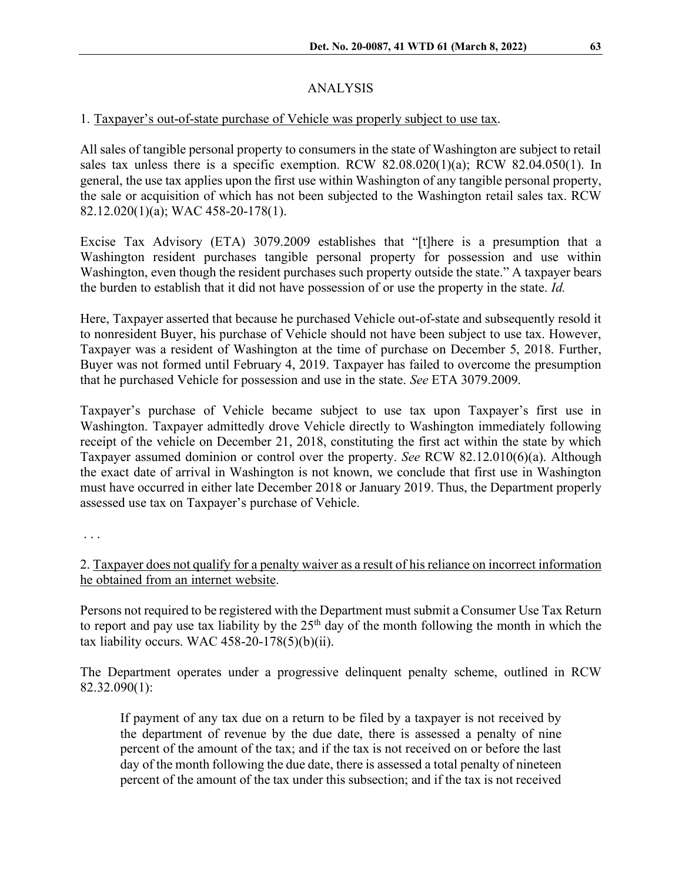# ANALYSIS

## 1. Taxpayer's out-of-state purchase of Vehicle was properly subject to use tax.

All sales of tangible personal property to consumers in the state of Washington are subject to retail sales tax unless there is a specific exemption. RCW 82.08.020(1)(a); RCW 82.04.050(1). In general, the use tax applies upon the first use within Washington of any tangible personal property, the sale or acquisition of which has not been subjected to the Washington retail sales tax. RCW 82.12.020(1)(a); WAC 458-20-178(1).

Excise Tax Advisory (ETA) 3079.2009 establishes that "[t]here is a presumption that a Washington resident purchases tangible personal property for possession and use within Washington, even though the resident purchases such property outside the state." A taxpayer bears the burden to establish that it did not have possession of or use the property in the state. *Id.*

Here, Taxpayer asserted that because he purchased Vehicle out-of-state and subsequently resold it to nonresident Buyer, his purchase of Vehicle should not have been subject to use tax. However, Taxpayer was a resident of Washington at the time of purchase on December 5, 2018. Further, Buyer was not formed until February 4, 2019. Taxpayer has failed to overcome the presumption that he purchased Vehicle for possession and use in the state. *See* ETA 3079.2009.

Taxpayer's purchase of Vehicle became subject to use tax upon Taxpayer's first use in Washington. Taxpayer admittedly drove Vehicle directly to Washington immediately following receipt of the vehicle on December 21, 2018, constituting the first act within the state by which Taxpayer assumed dominion or control over the property. *See* RCW 82.12.010(6)(a). Although the exact date of arrival in Washington is not known, we conclude that first use in Washington must have occurred in either late December 2018 or January 2019. Thus, the Department properly assessed use tax on Taxpayer's purchase of Vehicle.

. . .

2. Taxpayer does not qualify for a penalty waiver as a result of his reliance on incorrect information he obtained from an internet website.

Persons not required to be registered with the Department must submit a Consumer Use Tax Return to report and pay use tax liability by the  $25<sup>th</sup>$  day of the month following the month in which the tax liability occurs. WAC  $458-20-178(5)(b)(ii)$ .

The Department operates under a progressive delinquent penalty scheme, outlined in RCW 82.32.090(1):

If payment of any tax due on a return to be filed by a taxpayer is not received by the department of revenue by the due date, there is assessed a penalty of nine percent of the amount of the tax; and if the tax is not received on or before the last day of the month following the due date, there is assessed a total penalty of nineteen percent of the amount of the tax under this subsection; and if the tax is not received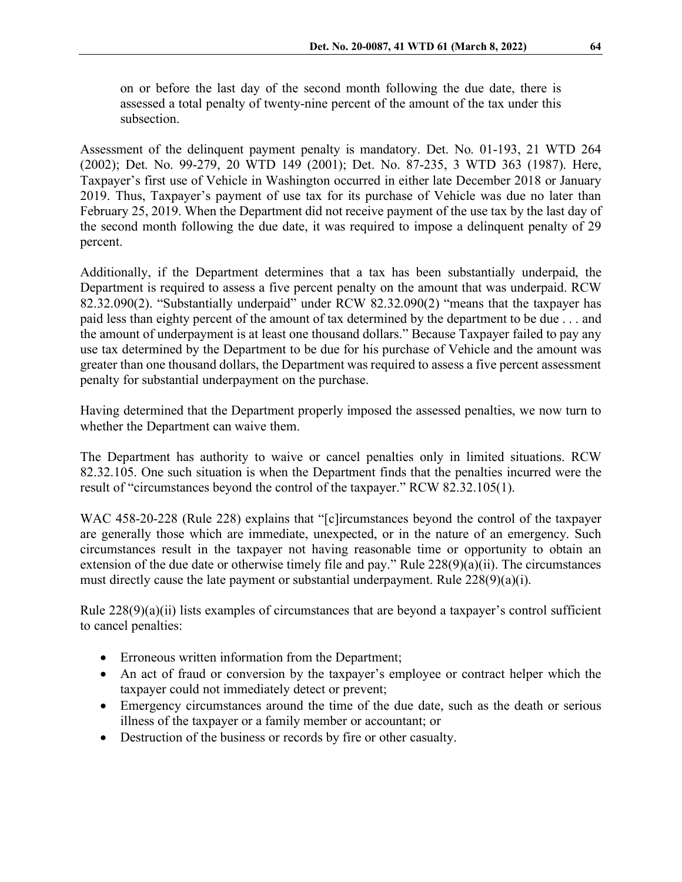on or before the last day of the second month following the due date, there is assessed a total penalty of twenty-nine percent of the amount of the tax under this subsection.

Assessment of the delinquent payment penalty is mandatory. Det. No. 01-193, 21 WTD 264 (2002); Det. No. 99-279, 20 WTD 149 (2001); Det. No. 87-235, 3 WTD 363 (1987). Here, Taxpayer's first use of Vehicle in Washington occurred in either late December 2018 or January 2019. Thus, Taxpayer's payment of use tax for its purchase of Vehicle was due no later than February 25, 2019. When the Department did not receive payment of the use tax by the last day of the second month following the due date, it was required to impose a delinquent penalty of 29 percent.

Additionally, if the Department determines that a tax has been substantially underpaid, the Department is required to assess a five percent penalty on the amount that was underpaid. RCW 82.32.090(2). "Substantially underpaid" under RCW 82.32.090(2) "means that the taxpayer has paid less than eighty percent of the amount of tax determined by the department to be due . . . and the amount of underpayment is at least one thousand dollars." Because Taxpayer failed to pay any use tax determined by the Department to be due for his purchase of Vehicle and the amount was greater than one thousand dollars, the Department was required to assess a five percent assessment penalty for substantial underpayment on the purchase.

Having determined that the Department properly imposed the assessed penalties, we now turn to whether the Department can waive them.

The Department has authority to waive or cancel penalties only in limited situations. RCW 82.32.105. One such situation is when the Department finds that the penalties incurred were the result of "circumstances beyond the control of the taxpayer." RCW 82.32.105(1).

WAC 458-20-228 (Rule 228) explains that "[c]ircumstances beyond the control of the taxpayer are generally those which are immediate, unexpected, or in the nature of an emergency. Such circumstances result in the taxpayer not having reasonable time or opportunity to obtain an extension of the due date or otherwise timely file and pay." Rule 228(9)(a)(ii). The circumstances must directly cause the late payment or substantial underpayment. Rule 228(9)(a)(i).

Rule 228(9)(a)(ii) lists examples of circumstances that are beyond a taxpayer's control sufficient to cancel penalties:

- Erroneous written information from the Department;
- An act of fraud or conversion by the taxpayer's employee or contract helper which the taxpayer could not immediately detect or prevent;
- Emergency circumstances around the time of the due date, such as the death or serious illness of the taxpayer or a family member or accountant; or
- Destruction of the business or records by fire or other casualty.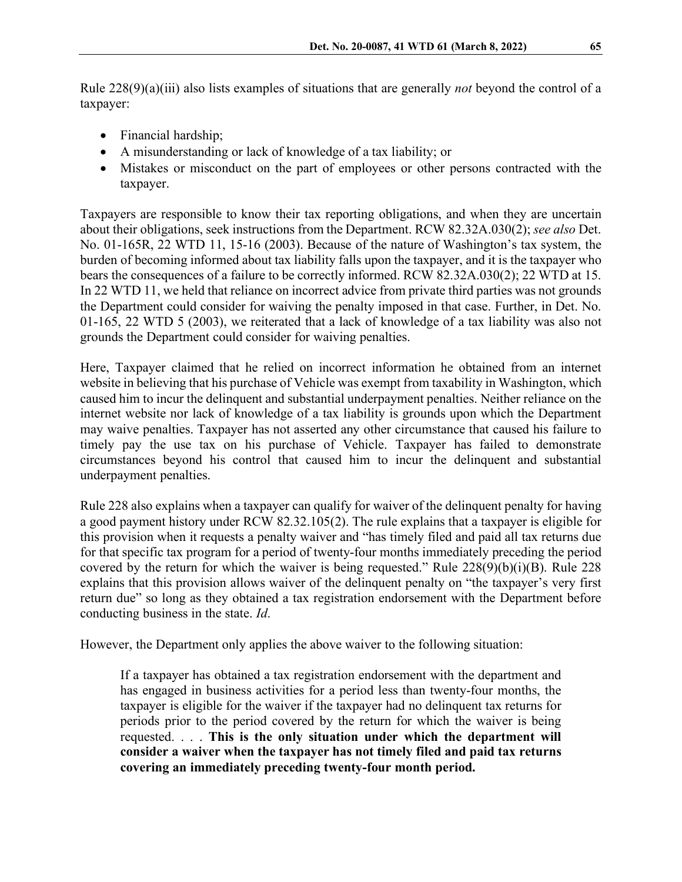Rule 228(9)(a)(iii) also lists examples of situations that are generally *not* beyond the control of a taxpayer:

- Financial hardship;
- A misunderstanding or lack of knowledge of a tax liability; or
- Mistakes or misconduct on the part of employees or other persons contracted with the taxpayer.

Taxpayers are responsible to know their tax reporting obligations, and when they are uncertain about their obligations, seek instructions from the Department. RCW 82.32A.030(2); *see also* Det. No. 01-165R, 22 WTD 11, 15-16 (2003). Because of the nature of Washington's tax system, the burden of becoming informed about tax liability falls upon the taxpayer, and it is the taxpayer who bears the consequences of a failure to be correctly informed. RCW 82.32A.030(2); 22 WTD at 15. In 22 WTD 11, we held that reliance on incorrect advice from private third parties was not grounds the Department could consider for waiving the penalty imposed in that case. Further, in Det. No. 01-165, 22 WTD 5 (2003), we reiterated that a lack of knowledge of a tax liability was also not grounds the Department could consider for waiving penalties.

Here, Taxpayer claimed that he relied on incorrect information he obtained from an internet website in believing that his purchase of Vehicle was exempt from taxability in Washington, which caused him to incur the delinquent and substantial underpayment penalties. Neither reliance on the internet website nor lack of knowledge of a tax liability is grounds upon which the Department may waive penalties. Taxpayer has not asserted any other circumstance that caused his failure to timely pay the use tax on his purchase of Vehicle. Taxpayer has failed to demonstrate circumstances beyond his control that caused him to incur the delinquent and substantial underpayment penalties.

Rule 228 also explains when a taxpayer can qualify for waiver of the delinquent penalty for having a good payment history under RCW 82.32.105(2). The rule explains that a taxpayer is eligible for this provision when it requests a penalty waiver and "has timely filed and paid all tax returns due for that specific tax program for a period of twenty-four months immediately preceding the period covered by the return for which the waiver is being requested." Rule  $228(9)(b)(i)(B)$ . Rule  $228$ explains that this provision allows waiver of the delinquent penalty on "the taxpayer's very first return due" so long as they obtained a tax registration endorsement with the Department before conducting business in the state. *Id*.

However, the Department only applies the above waiver to the following situation:

If a taxpayer has obtained a tax registration endorsement with the department and has engaged in business activities for a period less than twenty-four months, the taxpayer is eligible for the waiver if the taxpayer had no delinquent tax returns for periods prior to the period covered by the return for which the waiver is being requested. . . . **This is the only situation under which the department will consider a waiver when the taxpayer has not timely filed and paid tax returns covering an immediately preceding twenty-four month period.**